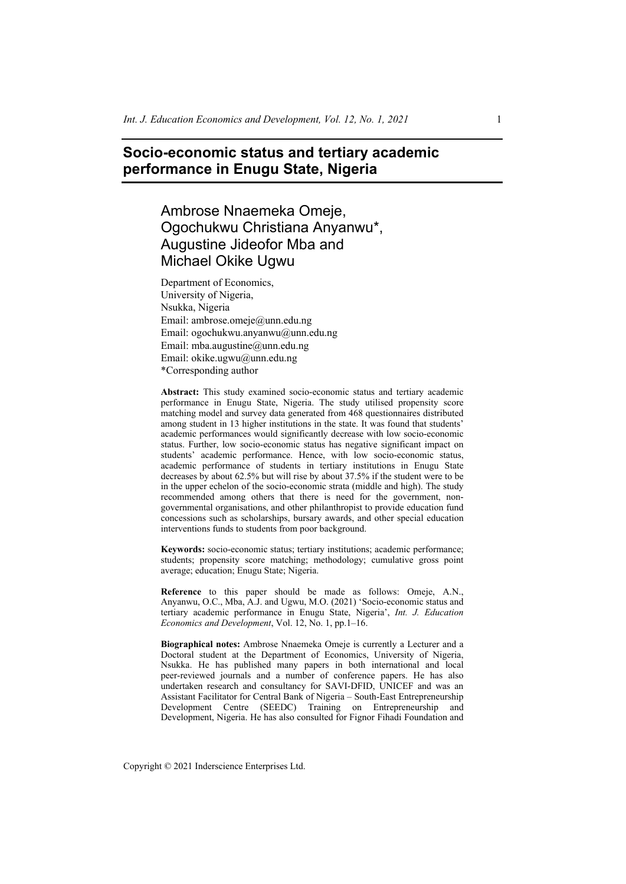# **Socio-economic status and tertiary academic performance in Enugu State, Nigeria**

# Ambrose Nnaemeka Omeje, Ogochukwu Christiana Anyanwu\*, Augustine Jideofor Mba and Michael Okike Ugwu

Department of Economics, University of Nigeria, Nsukka, Nigeria Email: ambrose.omeje@unn.edu.ng Email: ogochukwu.anyanwu@unn.edu.ng Email: mba.augustine@unn.edu.ng Email: okike.ugwu@unn.edu.ng \*Corresponding author

**Abstract:** This study examined socio-economic status and tertiary academic performance in Enugu State, Nigeria. The study utilised propensity score matching model and survey data generated from 468 questionnaires distributed among student in 13 higher institutions in the state. It was found that students' academic performances would significantly decrease with low socio-economic status. Further, low socio-economic status has negative significant impact on students' academic performance. Hence, with low socio-economic status, academic performance of students in tertiary institutions in Enugu State decreases by about 62.5% but will rise by about 37.5% if the student were to be in the upper echelon of the socio-economic strata (middle and high). The study recommended among others that there is need for the government, nongovernmental organisations, and other philanthropist to provide education fund concessions such as scholarships, bursary awards, and other special education interventions funds to students from poor background.

**Keywords:** socio-economic status; tertiary institutions; academic performance; students; propensity score matching; methodology; cumulative gross point average; education; Enugu State; Nigeria.

**Reference** to this paper should be made as follows: Omeje, A.N., Anyanwu, O.C., Mba, A.J. and Ugwu, M.O. (2021) 'Socio-economic status and tertiary academic performance in Enugu State, Nigeria', *Int. J. Education Economics and Development*, Vol. 12, No. 1, pp.1–16.

**Biographical notes:** Ambrose Nnaemeka Omeje is currently a Lecturer and a Doctoral student at the Department of Economics, University of Nigeria, Nsukka. He has published many papers in both international and local peer-reviewed journals and a number of conference papers. He has also undertaken research and consultancy for SAVI-DFID, UNICEF and was an Assistant Facilitator for Central Bank of Nigeria – South-East Entrepreneurship Development Centre (SEEDC) Training on Entrepreneurship and Development, Nigeria. He has also consulted for Fignor Fihadi Foundation and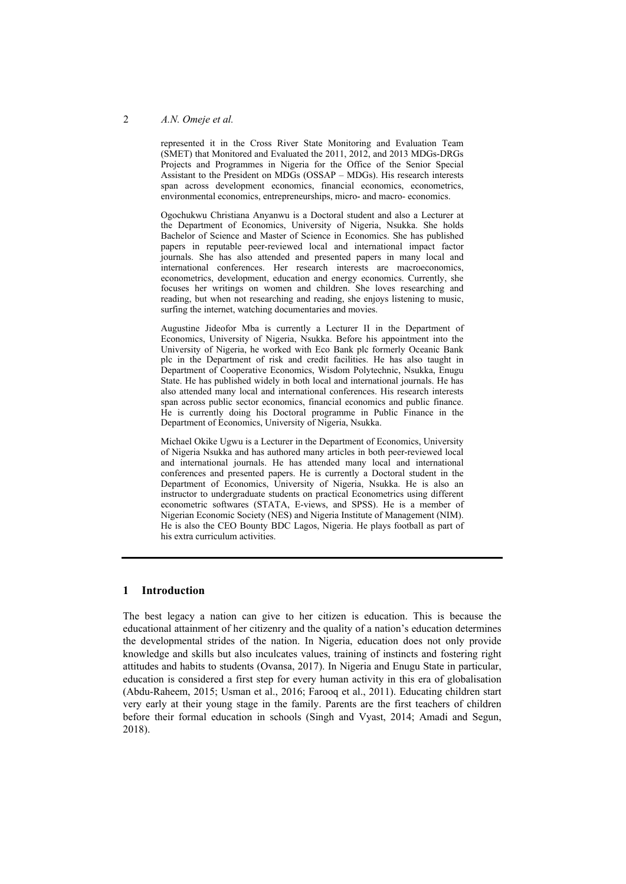represented it in the Cross River State Monitoring and Evaluation Team (SMET) that Monitored and Evaluated the 2011, 2012, and 2013 MDGs-DRGs Projects and Programmes in Nigeria for the Office of the Senior Special Assistant to the President on MDGs (OSSAP – MDGs). His research interests span across development economics, financial economics, econometrics, environmental economics, entrepreneurships, micro- and macro- economics.

Ogochukwu Christiana Anyanwu is a Doctoral student and also a Lecturer at the Department of Economics, University of Nigeria, Nsukka. She holds Bachelor of Science and Master of Science in Economics. She has published papers in reputable peer-reviewed local and international impact factor journals. She has also attended and presented papers in many local and international conferences. Her research interests are macroeconomics, econometrics, development, education and energy economics. Currently, she focuses her writings on women and children. She loves researching and reading, but when not researching and reading, she enjoys listening to music, surfing the internet, watching documentaries and movies.

Augustine Jideofor Mba is currently a Lecturer II in the Department of Economics, University of Nigeria, Nsukka. Before his appointment into the University of Nigeria, he worked with Eco Bank plc formerly Oceanic Bank plc in the Department of risk and credit facilities. He has also taught in Department of Cooperative Economics, Wisdom Polytechnic, Nsukka, Enugu State. He has published widely in both local and international journals. He has also attended many local and international conferences. His research interests span across public sector economics, financial economics and public finance. He is currently doing his Doctoral programme in Public Finance in the Department of Economics, University of Nigeria, Nsukka.

Michael Okike Ugwu is a Lecturer in the Department of Economics, University of Nigeria Nsukka and has authored many articles in both peer-reviewed local and international journals. He has attended many local and international conferences and presented papers. He is currently a Doctoral student in the Department of Economics, University of Nigeria, Nsukka. He is also an instructor to undergraduate students on practical Econometrics using different econometric softwares (STATA, E-views, and SPSS). He is a member of Nigerian Economic Society (NES) and Nigeria Institute of Management (NIM). He is also the CEO Bounty BDC Lagos, Nigeria. He plays football as part of his extra curriculum activities.

# **1 Introduction**

The best legacy a nation can give to her citizen is education. This is because the educational attainment of her citizenry and the quality of a nation's education determines the developmental strides of the nation. In Nigeria, education does not only provide knowledge and skills but also inculcates values, training of instincts and fostering right attitudes and habits to students (Ovansa, 2017). In Nigeria and Enugu State in particular, education is considered a first step for every human activity in this era of globalisation (Abdu-Raheem, 2015; Usman et al., 2016; Farooq et al., 2011). Educating children start very early at their young stage in the family. Parents are the first teachers of children before their formal education in schools (Singh and Vyast, 2014; Amadi and Segun, 2018).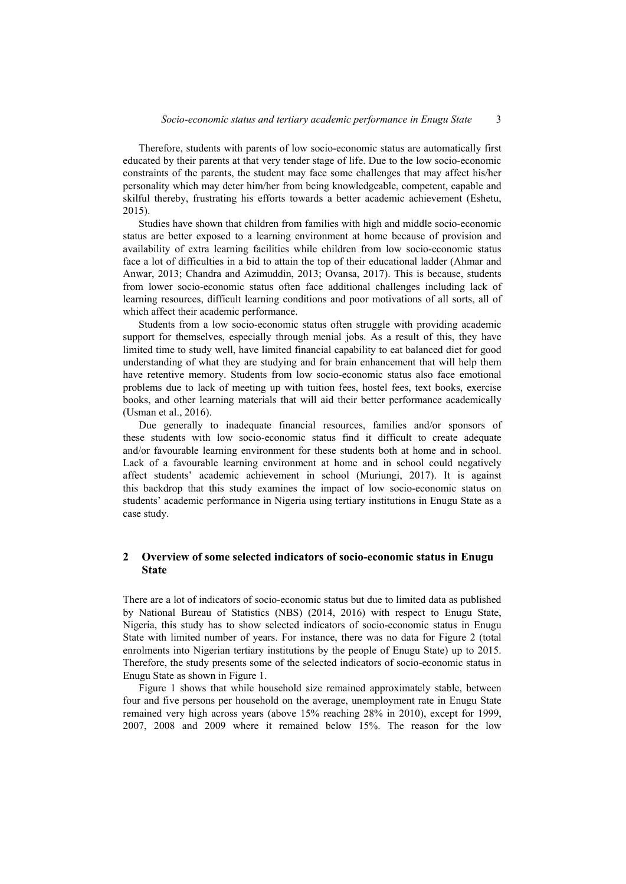Therefore, students with parents of low socio-economic status are automatically first educated by their parents at that very tender stage of life. Due to the low socio-economic constraints of the parents, the student may face some challenges that may affect his/her personality which may deter him/her from being knowledgeable, competent, capable and skilful thereby, frustrating his efforts towards a better academic achievement (Eshetu, 2015).

Studies have shown that children from families with high and middle socio-economic status are better exposed to a learning environment at home because of provision and availability of extra learning facilities while children from low socio-economic status face a lot of difficulties in a bid to attain the top of their educational ladder (Ahmar and Anwar, 2013; Chandra and Azimuddin, 2013; Ovansa, 2017). This is because, students from lower socio-economic status often face additional challenges including lack of learning resources, difficult learning conditions and poor motivations of all sorts, all of which affect their academic performance.

Students from a low socio-economic status often struggle with providing academic support for themselves, especially through menial jobs. As a result of this, they have limited time to study well, have limited financial capability to eat balanced diet for good understanding of what they are studying and for brain enhancement that will help them have retentive memory. Students from low socio-economic status also face emotional problems due to lack of meeting up with tuition fees, hostel fees, text books, exercise books, and other learning materials that will aid their better performance academically (Usman et al., 2016).

Due generally to inadequate financial resources, families and/or sponsors of these students with low socio-economic status find it difficult to create adequate and/or favourable learning environment for these students both at home and in school. Lack of a favourable learning environment at home and in school could negatively affect students' academic achievement in school (Muriungi, 2017). It is against this backdrop that this study examines the impact of low socio-economic status on students' academic performance in Nigeria using tertiary institutions in Enugu State as a case study.

# **2 Overview of some selected indicators of socio-economic status in Enugu State**

There are a lot of indicators of socio-economic status but due to limited data as published by National Bureau of Statistics (NBS) (2014, 2016) with respect to Enugu State, Nigeria, this study has to show selected indicators of socio-economic status in Enugu State with limited number of years. For instance, there was no data for Figure 2 (total enrolments into Nigerian tertiary institutions by the people of Enugu State) up to 2015. Therefore, the study presents some of the selected indicators of socio-economic status in Enugu State as shown in Figure 1.

Figure 1 shows that while household size remained approximately stable, between four and five persons per household on the average, unemployment rate in Enugu State remained very high across years (above 15% reaching 28% in 2010), except for 1999, 2007, 2008 and 2009 where it remained below 15%. The reason for the low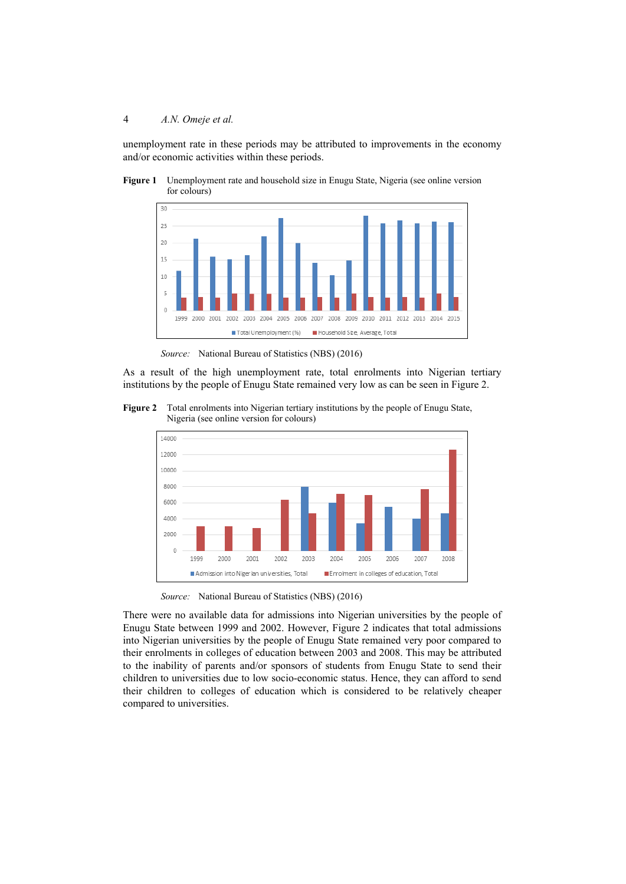unemployment rate in these periods may be attributed to improvements in the economy and/or economic activities within these periods.

**Figure 1** Unemployment rate and household size in Enugu State, Nigeria (see online version for colours)



*Source:* National Bureau of Statistics (NBS) (2016)

As a result of the high unemployment rate, total enrolments into Nigerian tertiary institutions by the people of Enugu State remained very low as can be seen in Figure 2.

**Figure 2** Total enrolments into Nigerian tertiary institutions by the people of Enugu State, Nigeria (see online version for colours)



*Source:* National Bureau of Statistics (NBS) (2016)

There were no available data for admissions into Nigerian universities by the people of Enugu State between 1999 and 2002. However, Figure 2 indicates that total admissions into Nigerian universities by the people of Enugu State remained very poor compared to their enrolments in colleges of education between 2003 and 2008. This may be attributed to the inability of parents and/or sponsors of students from Enugu State to send their children to universities due to low socio-economic status. Hence, they can afford to send their children to colleges of education which is considered to be relatively cheaper compared to universities.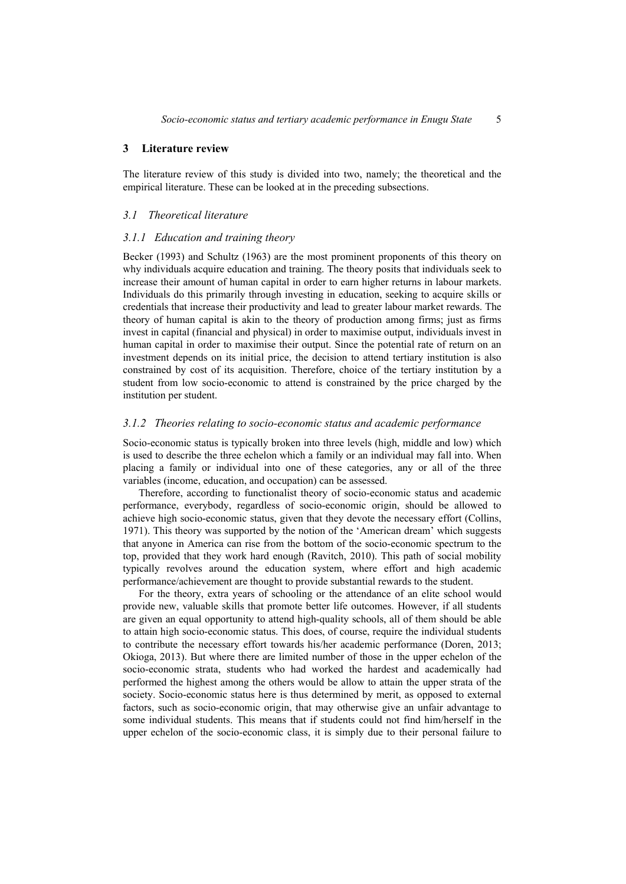# **3 Literature review**

The literature review of this study is divided into two, namely; the theoretical and the empirical literature. These can be looked at in the preceding subsections.

### *3.1 Theoretical literature*

## *3.1.1 Education and training theory*

Becker (1993) and Schultz (1963) are the most prominent proponents of this theory on why individuals acquire education and training. The theory posits that individuals seek to increase their amount of human capital in order to earn higher returns in labour markets. Individuals do this primarily through investing in education, seeking to acquire skills or credentials that increase their productivity and lead to greater labour market rewards. The theory of human capital is akin to the theory of production among firms; just as firms invest in capital (financial and physical) in order to maximise output, individuals invest in human capital in order to maximise their output. Since the potential rate of return on an investment depends on its initial price, the decision to attend tertiary institution is also constrained by cost of its acquisition. Therefore, choice of the tertiary institution by a student from low socio-economic to attend is constrained by the price charged by the institution per student.

### *3.1.2 Theories relating to socio-economic status and academic performance*

Socio-economic status is typically broken into three levels (high, middle and low) which is used to describe the three echelon which a family or an individual may fall into. When placing a family or individual into one of these categories, any or all of the three variables (income, education, and occupation) can be assessed.

Therefore, according to functionalist theory of socio-economic status and academic performance, everybody, regardless of socio-economic origin, should be allowed to achieve high socio-economic status, given that they devote the necessary effort (Collins, 1971). This theory was supported by the notion of the 'American dream' which suggests that anyone in America can rise from the bottom of the socio-economic spectrum to the top, provided that they work hard enough (Ravitch, 2010). This path of social mobility typically revolves around the education system, where effort and high academic performance/achievement are thought to provide substantial rewards to the student.

For the theory, extra years of schooling or the attendance of an elite school would provide new, valuable skills that promote better life outcomes. However, if all students are given an equal opportunity to attend high-quality schools, all of them should be able to attain high socio-economic status. This does, of course, require the individual students to contribute the necessary effort towards his/her academic performance (Doren, 2013; Okioga, 2013). But where there are limited number of those in the upper echelon of the socio-economic strata, students who had worked the hardest and academically had performed the highest among the others would be allow to attain the upper strata of the society. Socio-economic status here is thus determined by merit, as opposed to external factors, such as socio-economic origin, that may otherwise give an unfair advantage to some individual students. This means that if students could not find him/herself in the upper echelon of the socio-economic class, it is simply due to their personal failure to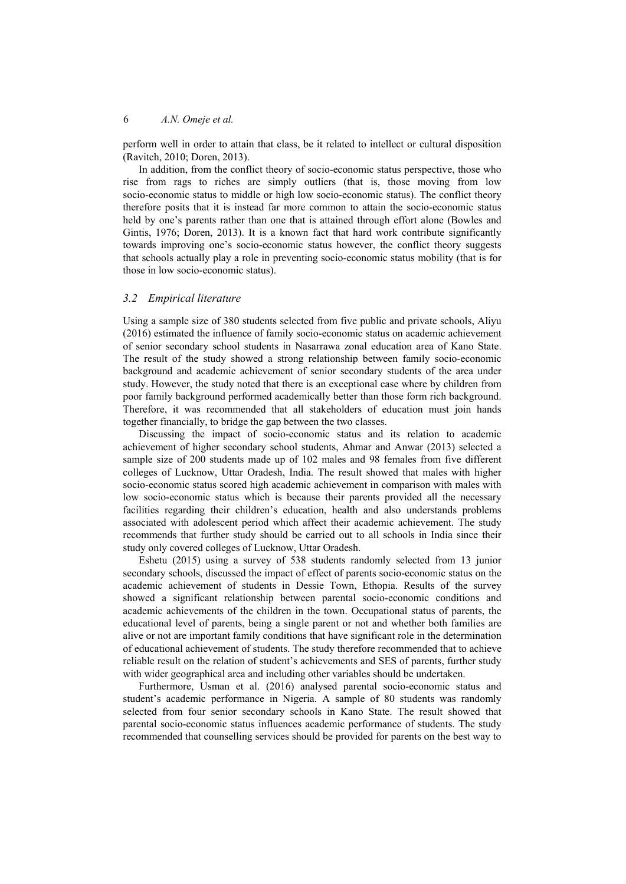perform well in order to attain that class, be it related to intellect or cultural disposition (Ravitch, 2010; Doren, 2013).

In addition, from the conflict theory of socio-economic status perspective, those who rise from rags to riches are simply outliers (that is, those moving from low socio-economic status to middle or high low socio-economic status). The conflict theory therefore posits that it is instead far more common to attain the socio-economic status held by one's parents rather than one that is attained through effort alone (Bowles and Gintis, 1976; Doren, 2013). It is a known fact that hard work contribute significantly towards improving one's socio-economic status however, the conflict theory suggests that schools actually play a role in preventing socio-economic status mobility (that is for those in low socio-economic status).

## *3.2 Empirical literature*

Using a sample size of 380 students selected from five public and private schools, Aliyu (2016) estimated the influence of family socio-economic status on academic achievement of senior secondary school students in Nasarrawa zonal education area of Kano State. The result of the study showed a strong relationship between family socio-economic background and academic achievement of senior secondary students of the area under study. However, the study noted that there is an exceptional case where by children from poor family background performed academically better than those form rich background. Therefore, it was recommended that all stakeholders of education must join hands together financially, to bridge the gap between the two classes.

Discussing the impact of socio-economic status and its relation to academic achievement of higher secondary school students, Ahmar and Anwar (2013) selected a sample size of 200 students made up of 102 males and 98 females from five different colleges of Lucknow, Uttar Oradesh, India. The result showed that males with higher socio-economic status scored high academic achievement in comparison with males with low socio-economic status which is because their parents provided all the necessary facilities regarding their children's education, health and also understands problems associated with adolescent period which affect their academic achievement. The study recommends that further study should be carried out to all schools in India since their study only covered colleges of Lucknow, Uttar Oradesh.

Eshetu (2015) using a survey of 538 students randomly selected from 13 junior secondary schools, discussed the impact of effect of parents socio-economic status on the academic achievement of students in Dessie Town, Ethopia. Results of the survey showed a significant relationship between parental socio-economic conditions and academic achievements of the children in the town. Occupational status of parents, the educational level of parents, being a single parent or not and whether both families are alive or not are important family conditions that have significant role in the determination of educational achievement of students. The study therefore recommended that to achieve reliable result on the relation of student's achievements and SES of parents, further study with wider geographical area and including other variables should be undertaken.

Furthermore, Usman et al. (2016) analysed parental socio-economic status and student's academic performance in Nigeria. A sample of 80 students was randomly selected from four senior secondary schools in Kano State. The result showed that parental socio-economic status influences academic performance of students. The study recommended that counselling services should be provided for parents on the best way to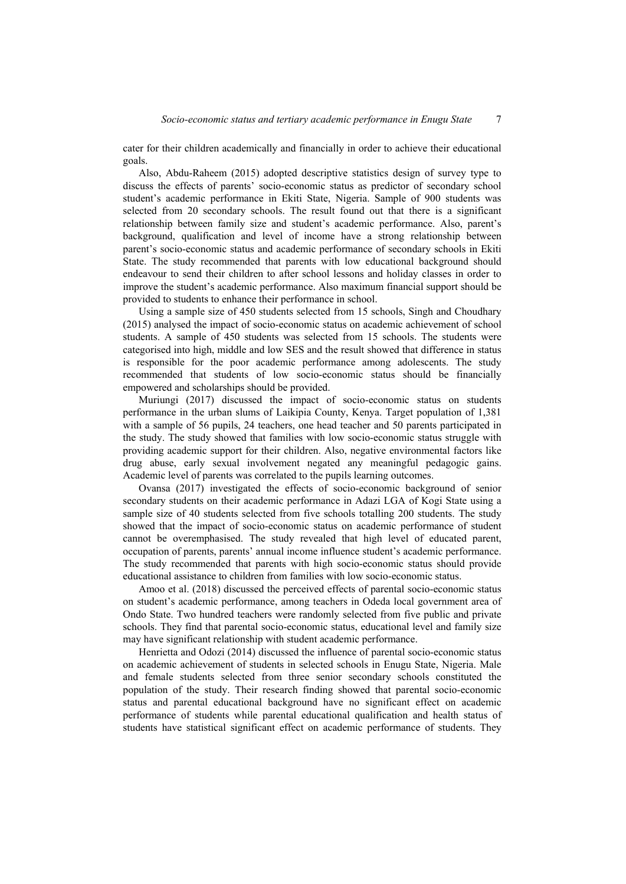cater for their children academically and financially in order to achieve their educational goals.

Also, Abdu-Raheem (2015) adopted descriptive statistics design of survey type to discuss the effects of parents' socio-economic status as predictor of secondary school student's academic performance in Ekiti State, Nigeria. Sample of 900 students was selected from 20 secondary schools. The result found out that there is a significant relationship between family size and student's academic performance. Also, parent's background, qualification and level of income have a strong relationship between parent's socio-economic status and academic performance of secondary schools in Ekiti State. The study recommended that parents with low educational background should endeavour to send their children to after school lessons and holiday classes in order to improve the student's academic performance. Also maximum financial support should be provided to students to enhance their performance in school.

Using a sample size of 450 students selected from 15 schools, Singh and Choudhary (2015) analysed the impact of socio-economic status on academic achievement of school students. A sample of 450 students was selected from 15 schools. The students were categorised into high, middle and low SES and the result showed that difference in status is responsible for the poor academic performance among adolescents. The study recommended that students of low socio-economic status should be financially empowered and scholarships should be provided.

Muriungi (2017) discussed the impact of socio-economic status on students performance in the urban slums of Laikipia County, Kenya. Target population of 1,381 with a sample of 56 pupils, 24 teachers, one head teacher and 50 parents participated in the study. The study showed that families with low socio-economic status struggle with providing academic support for their children. Also, negative environmental factors like drug abuse, early sexual involvement negated any meaningful pedagogic gains. Academic level of parents was correlated to the pupils learning outcomes.

Ovansa (2017) investigated the effects of socio-economic background of senior secondary students on their academic performance in Adazi LGA of Kogi State using a sample size of 40 students selected from five schools totalling 200 students. The study showed that the impact of socio-economic status on academic performance of student cannot be overemphasised. The study revealed that high level of educated parent, occupation of parents, parents' annual income influence student's academic performance. The study recommended that parents with high socio-economic status should provide educational assistance to children from families with low socio-economic status.

Amoo et al. (2018) discussed the perceived effects of parental socio-economic status on student's academic performance, among teachers in Odeda local government area of Ondo State. Two hundred teachers were randomly selected from five public and private schools. They find that parental socio-economic status, educational level and family size may have significant relationship with student academic performance.

Henrietta and Odozi (2014) discussed the influence of parental socio-economic status on academic achievement of students in selected schools in Enugu State, Nigeria. Male and female students selected from three senior secondary schools constituted the population of the study. Their research finding showed that parental socio-economic status and parental educational background have no significant effect on academic performance of students while parental educational qualification and health status of students have statistical significant effect on academic performance of students. They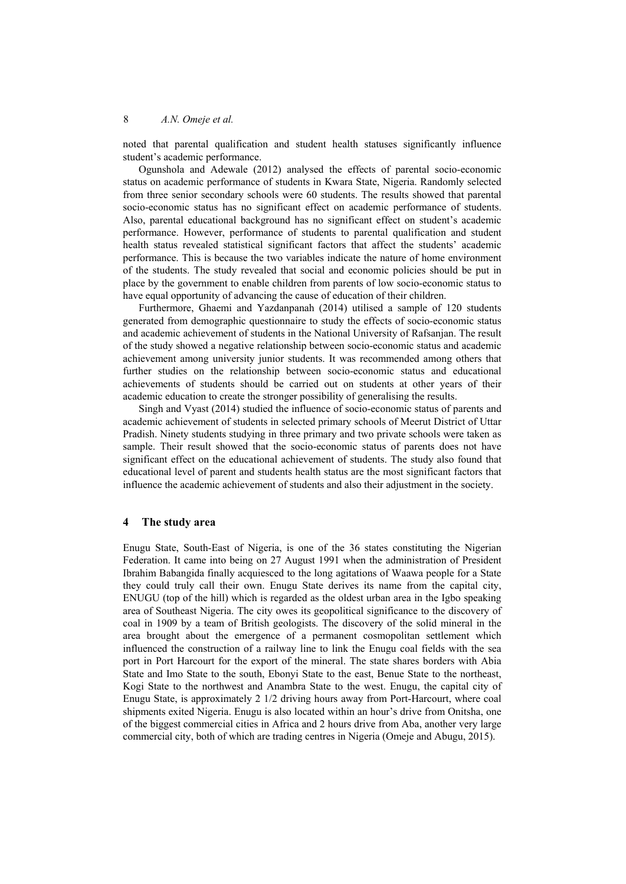noted that parental qualification and student health statuses significantly influence student's academic performance.

Ogunshola and Adewale (2012) analysed the effects of parental socio-economic status on academic performance of students in Kwara State, Nigeria. Randomly selected from three senior secondary schools were 60 students. The results showed that parental socio-economic status has no significant effect on academic performance of students. Also, parental educational background has no significant effect on student's academic performance. However, performance of students to parental qualification and student health status revealed statistical significant factors that affect the students' academic performance. This is because the two variables indicate the nature of home environment of the students. The study revealed that social and economic policies should be put in place by the government to enable children from parents of low socio-economic status to have equal opportunity of advancing the cause of education of their children.

Furthermore, Ghaemi and Yazdanpanah (2014) utilised a sample of 120 students generated from demographic questionnaire to study the effects of socio-economic status and academic achievement of students in the National University of Rafsanjan. The result of the study showed a negative relationship between socio-economic status and academic achievement among university junior students. It was recommended among others that further studies on the relationship between socio-economic status and educational achievements of students should be carried out on students at other years of their academic education to create the stronger possibility of generalising the results.

Singh and Vyast (2014) studied the influence of socio-economic status of parents and academic achievement of students in selected primary schools of Meerut District of Uttar Pradish. Ninety students studying in three primary and two private schools were taken as sample. Their result showed that the socio-economic status of parents does not have significant effect on the educational achievement of students. The study also found that educational level of parent and students health status are the most significant factors that influence the academic achievement of students and also their adjustment in the society.

## **4 The study area**

Enugu State, South-East of Nigeria, is one of the 36 states constituting the Nigerian Federation. It came into being on 27 August 1991 when the administration of President Ibrahim Babangida finally acquiesced to the long agitations of Waawa people for a State they could truly call their own. Enugu State derives its name from the capital city, ENUGU (top of the hill) which is regarded as the oldest urban area in the Igbo speaking area of Southeast Nigeria. The city owes its geopolitical significance to the discovery of coal in 1909 by a team of British geologists. The discovery of the solid mineral in the area brought about the emergence of a permanent cosmopolitan settlement which influenced the construction of a railway line to link the Enugu coal fields with the sea port in Port Harcourt for the export of the mineral. The state shares borders with Abia State and Imo State to the south, Ebonyi State to the east, Benue State to the northeast, Kogi State to the northwest and Anambra State to the west. Enugu, the capital city of Enugu State, is approximately 2 1/2 driving hours away from Port-Harcourt, where coal shipments exited Nigeria. Enugu is also located within an hour's drive from Onitsha, one of the biggest commercial cities in Africa and 2 hours drive from Aba, another very large commercial city, both of which are trading centres in Nigeria (Omeje and Abugu, 2015).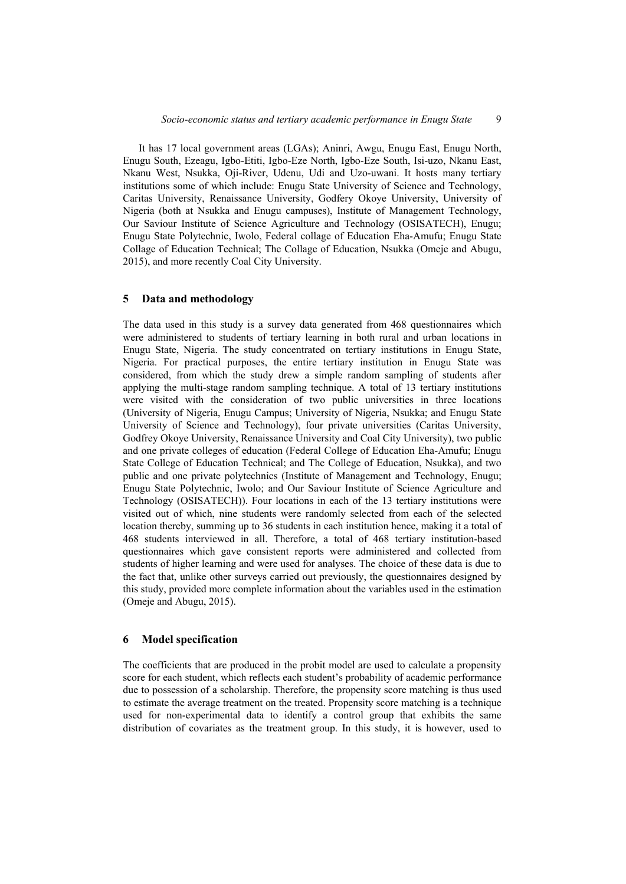It has 17 local government areas (LGAs); Aninri, Awgu, Enugu East, Enugu North, Enugu South, Ezeagu, Igbo-Etiti, Igbo-Eze North, Igbo-Eze South, Isi-uzo, Nkanu East, Nkanu West, Nsukka, Oji-River, Udenu, Udi and Uzo-uwani. It hosts many tertiary institutions some of which include: Enugu State University of Science and Technology, Caritas University, Renaissance University, Godfery Okoye University, University of Nigeria (both at Nsukka and Enugu campuses), Institute of Management Technology, Our Saviour Institute of Science Agriculture and Technology (OSISATECH), Enugu; Enugu State Polytechnic, Iwolo, Federal collage of Education Eha-Amufu; Enugu State Collage of Education Technical; The Collage of Education, Nsukka (Omeje and Abugu, 2015), and more recently Coal City University.

## **5 Data and methodology**

The data used in this study is a survey data generated from 468 questionnaires which were administered to students of tertiary learning in both rural and urban locations in Enugu State, Nigeria. The study concentrated on tertiary institutions in Enugu State, Nigeria. For practical purposes, the entire tertiary institution in Enugu State was considered, from which the study drew a simple random sampling of students after applying the multi-stage random sampling technique. A total of 13 tertiary institutions were visited with the consideration of two public universities in three locations (University of Nigeria, Enugu Campus; University of Nigeria, Nsukka; and Enugu State University of Science and Technology), four private universities (Caritas University, Godfrey Okoye University, Renaissance University and Coal City University), two public and one private colleges of education (Federal College of Education Eha-Amufu; Enugu State College of Education Technical; and The College of Education, Nsukka), and two public and one private polytechnics (Institute of Management and Technology, Enugu; Enugu State Polytechnic, Iwolo; and Our Saviour Institute of Science Agriculture and Technology (OSISATECH)). Four locations in each of the 13 tertiary institutions were visited out of which, nine students were randomly selected from each of the selected location thereby, summing up to 36 students in each institution hence, making it a total of 468 students interviewed in all. Therefore, a total of 468 tertiary institution-based questionnaires which gave consistent reports were administered and collected from students of higher learning and were used for analyses. The choice of these data is due to the fact that, unlike other surveys carried out previously, the questionnaires designed by this study, provided more complete information about the variables used in the estimation (Omeje and Abugu, 2015).

### **6 Model specification**

The coefficients that are produced in the probit model are used to calculate a propensity score for each student, which reflects each student's probability of academic performance due to possession of a scholarship. Therefore, the propensity score matching is thus used to estimate the average treatment on the treated. Propensity score matching is a technique used for non-experimental data to identify a control group that exhibits the same distribution of covariates as the treatment group. In this study, it is however, used to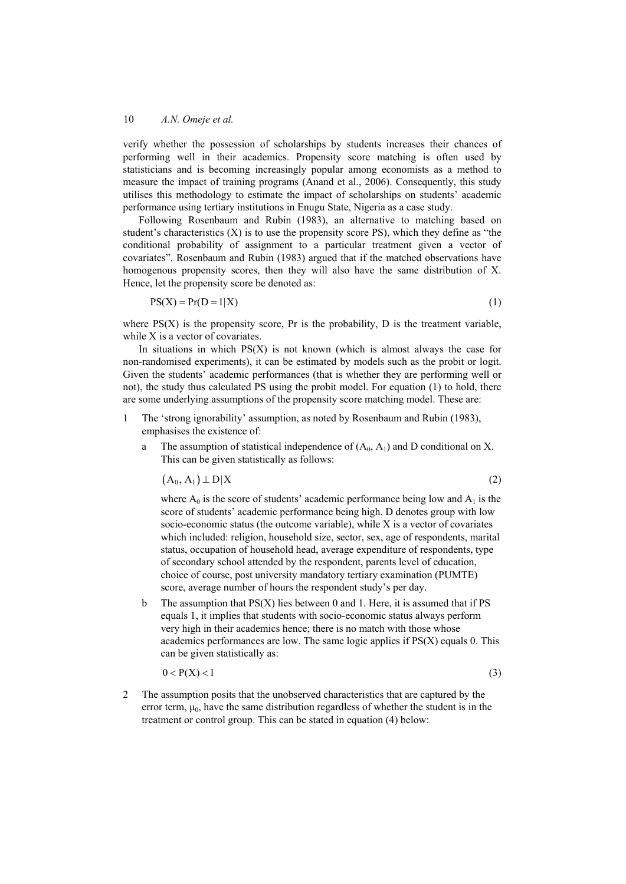verify whether the possession of scholarships by students increases their chances of performing well in their academics. Propensity score matching is often used by statisticians and is becoming increasingly popular among economists as a method to measure the impact of training programs (Anand et al., 2006). Consequently, this study utilises this methodology to estimate the impact of scholarships on students' academic performance using tertiary institutions in Enugu State, Nigeria as a case study.

Following Rosenbaum and Rubin (1983), an alternative to matching based on student's characteristics (X) is to use the propensity score PS), which they define as "the conditional probability of assignment to a particular treatment given a vector of covariates". Rosenbaum and Rubin (1983) argued that if the matched observations have homogenous propensity scores, then they will also have the same distribution of X. Hence, let the propensity score be denoted as:

$$
PS(X) = Pr(D = 1|X)
$$
\n<sup>(1)</sup>

where  $PS(X)$  is the propensity score, Pr is the probability, D is the treatment variable, while X is a vector of covariates.

In situations in which  $PS(X)$  is not known (which is almost always the case for non-randomised experiments), it can be estimated by models such as the probit or logit. Given the students' academic performances (that is whether they are performing well or not), the study thus calculated PS using the probit model. For equation (1) to hold, there are some underlying assumptions of the propensity score matching model. These are:

- 1 The 'strong ignorability' assumption, as noted by Rosenbaum and Rubin (1983), emphasises the existence of:
	- a The assumption of statistical independence of  $(A_0, A_1)$  and D conditional on X. This can be given statistically as follows:

$$
(A_0, A_1) \perp D|X \tag{2}
$$

where  $A_0$  is the score of students' academic performance being low and  $A_1$  is the score of students' academic performance being high. D denotes group with low socio-economic status (the outcome variable), while X is a vector of covariates which included: religion, household size, sector, sex, age of respondents, marital status, occupation of household head, average expenditure of respondents, type of secondary school attended by the respondent, parents level of education, choice of course, post university mandatory tertiary examination (PUMTE) score, average number of hours the respondent study's per day.

b The assumption that  $PS(X)$  lies between 0 and 1. Here, it is assumed that if PS equals 1, it implies that students with socio-economic status always perform very high in their academics hence; there is no match with those whose academics performances are low. The same logic applies if PS(X) equals 0. This can be given statistically as:

$$
0 < P(X) < 1 \tag{3}
$$

2 The assumption posits that the unobserved characteristics that are captured by the error term,  $\mu_0$ , have the same distribution regardless of whether the student is in the treatment or control group. This can be stated in equation (4) below: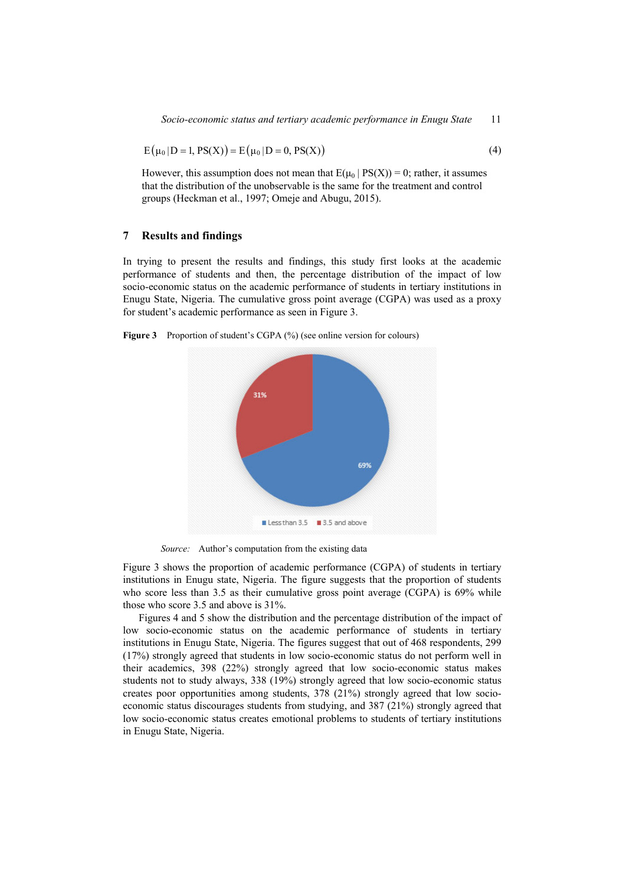$$
E(\mu_0 | D = 1, PS(X)) = E(\mu_0 | D = 0, PS(X))
$$
\n(4)

However, this assumption does not mean that  $E(\mu_0 | PS(X)) = 0$ ; rather, it assumes that the distribution of the unobservable is the same for the treatment and control groups (Heckman et al., 1997; Omeje and Abugu, 2015).

# **7 Results and findings**

In trying to present the results and findings, this study first looks at the academic performance of students and then, the percentage distribution of the impact of low socio-economic status on the academic performance of students in tertiary institutions in Enugu State, Nigeria. The cumulative gross point average (CGPA) was used as a proxy for student's academic performance as seen in Figure 3.



**Figure 3** Proportion of student's CGPA (%) (see online version for colours)

*Source:* Author's computation from the existing data

Figure 3 shows the proportion of academic performance (CGPA) of students in tertiary institutions in Enugu state, Nigeria. The figure suggests that the proportion of students who score less than 3.5 as their cumulative gross point average (CGPA) is 69% while those who score 3.5 and above is 31%.

Figures 4 and 5 show the distribution and the percentage distribution of the impact of low socio-economic status on the academic performance of students in tertiary institutions in Enugu State, Nigeria. The figures suggest that out of 468 respondents, 299 (17%) strongly agreed that students in low socio-economic status do not perform well in their academics, 398 (22%) strongly agreed that low socio-economic status makes students not to study always, 338 (19%) strongly agreed that low socio-economic status creates poor opportunities among students, 378 (21%) strongly agreed that low socioeconomic status discourages students from studying, and 387 (21%) strongly agreed that low socio-economic status creates emotional problems to students of tertiary institutions in Enugu State, Nigeria.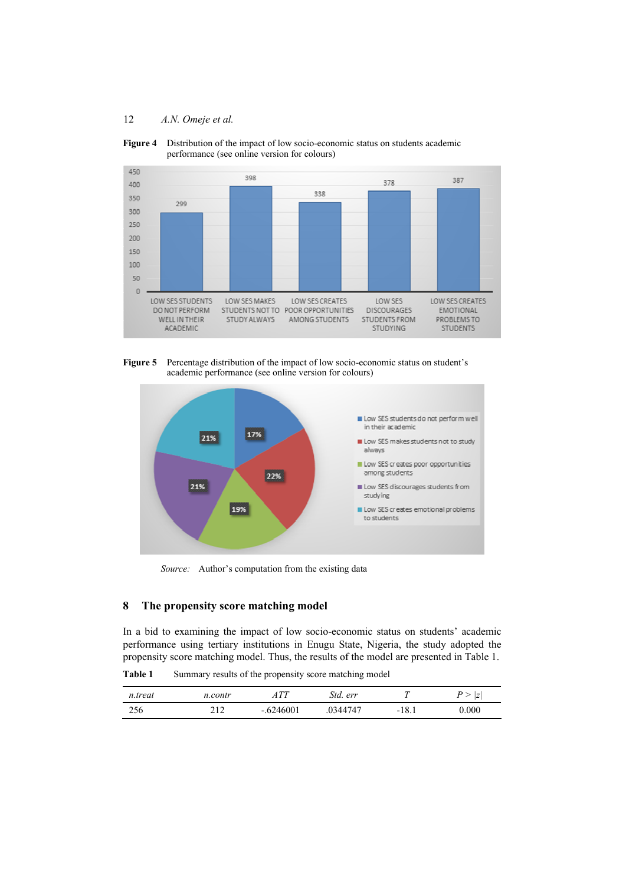**Figure 4** Distribution of the impact of low socio-economic status on students academic performance (see online version for colours)



**Figure 5** Percentage distribution of the impact of low socio-economic status on student's academic performance (see online version for colours)



*Source:* Author's computation from the existing data

# **8 The propensity score matching model**

In a bid to examining the impact of low socio-economic status on students' academic performance using tertiary institutions in Enugu State, Nigeria, the study adopted the propensity score matching model. Thus, the results of the model are presented in Table 1.

Table 1 Summary results of the propensity score matching model

| n.treat | n.contr | ATT         | Std. err | 7           | z         |
|---------|---------|-------------|----------|-------------|-----------|
| 256     | ר נ     | $-.6246001$ | .0344747 | 18.1<br>- 1 | $0.000\,$ |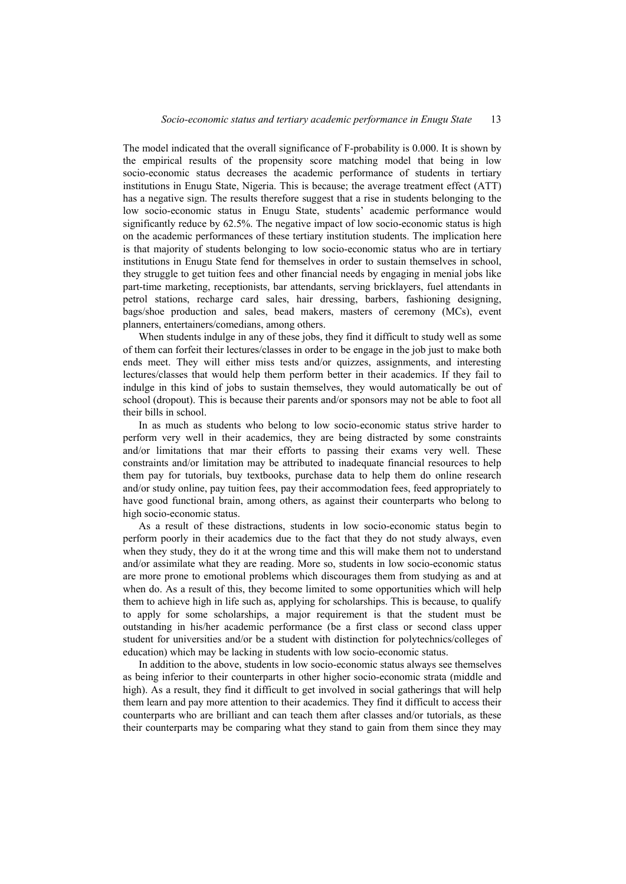The model indicated that the overall significance of F-probability is 0.000. It is shown by the empirical results of the propensity score matching model that being in low socio-economic status decreases the academic performance of students in tertiary institutions in Enugu State, Nigeria. This is because; the average treatment effect (ATT) has a negative sign. The results therefore suggest that a rise in students belonging to the low socio-economic status in Enugu State, students' academic performance would significantly reduce by 62.5%. The negative impact of low socio-economic status is high on the academic performances of these tertiary institution students. The implication here is that majority of students belonging to low socio-economic status who are in tertiary institutions in Enugu State fend for themselves in order to sustain themselves in school, they struggle to get tuition fees and other financial needs by engaging in menial jobs like part-time marketing, receptionists, bar attendants, serving bricklayers, fuel attendants in petrol stations, recharge card sales, hair dressing, barbers, fashioning designing, bags/shoe production and sales, bead makers, masters of ceremony (MCs), event planners, entertainers/comedians, among others.

When students indulge in any of these jobs, they find it difficult to study well as some of them can forfeit their lectures/classes in order to be engage in the job just to make both ends meet. They will either miss tests and/or quizzes, assignments, and interesting lectures/classes that would help them perform better in their academics. If they fail to indulge in this kind of jobs to sustain themselves, they would automatically be out of school (dropout). This is because their parents and/or sponsors may not be able to foot all their bills in school.

In as much as students who belong to low socio-economic status strive harder to perform very well in their academics, they are being distracted by some constraints and/or limitations that mar their efforts to passing their exams very well. These constraints and/or limitation may be attributed to inadequate financial resources to help them pay for tutorials, buy textbooks, purchase data to help them do online research and/or study online, pay tuition fees, pay their accommodation fees, feed appropriately to have good functional brain, among others, as against their counterparts who belong to high socio-economic status.

As a result of these distractions, students in low socio-economic status begin to perform poorly in their academics due to the fact that they do not study always, even when they study, they do it at the wrong time and this will make them not to understand and/or assimilate what they are reading. More so, students in low socio-economic status are more prone to emotional problems which discourages them from studying as and at when do. As a result of this, they become limited to some opportunities which will help them to achieve high in life such as, applying for scholarships. This is because, to qualify to apply for some scholarships, a major requirement is that the student must be outstanding in his/her academic performance (be a first class or second class upper student for universities and/or be a student with distinction for polytechnics/colleges of education) which may be lacking in students with low socio-economic status.

In addition to the above, students in low socio-economic status always see themselves as being inferior to their counterparts in other higher socio-economic strata (middle and high). As a result, they find it difficult to get involved in social gatherings that will help them learn and pay more attention to their academics. They find it difficult to access their counterparts who are brilliant and can teach them after classes and/or tutorials, as these their counterparts may be comparing what they stand to gain from them since they may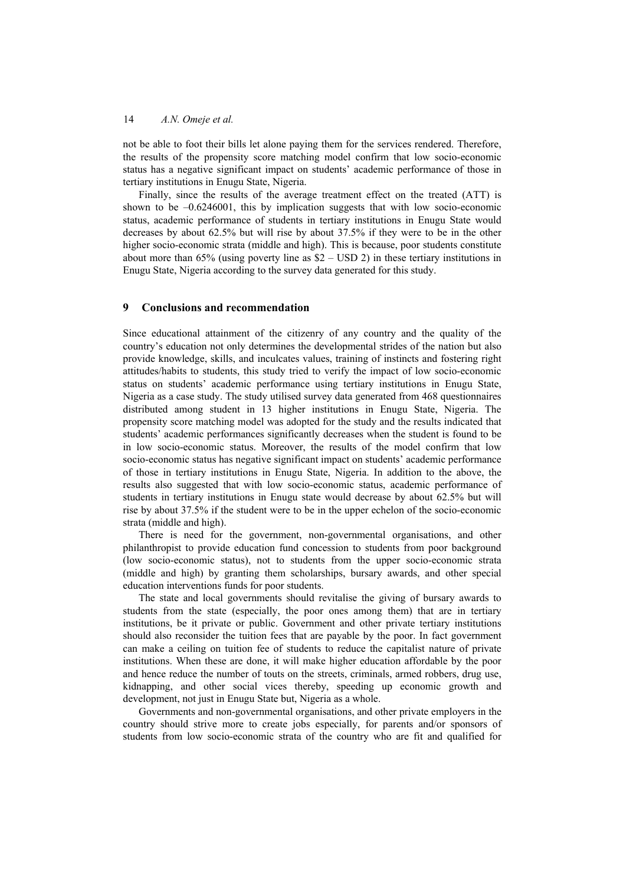not be able to foot their bills let alone paying them for the services rendered. Therefore, the results of the propensity score matching model confirm that low socio-economic status has a negative significant impact on students' academic performance of those in tertiary institutions in Enugu State, Nigeria.

Finally, since the results of the average treatment effect on the treated (ATT) is shown to be  $-0.6246001$ , this by implication suggests that with low socio-economic status, academic performance of students in tertiary institutions in Enugu State would decreases by about 62.5% but will rise by about 37.5% if they were to be in the other higher socio-economic strata (middle and high). This is because, poor students constitute about more than  $65\%$  (using poverty line as  $$2 - USD 2$ ) in these tertiary institutions in Enugu State, Nigeria according to the survey data generated for this study.

## **9 Conclusions and recommendation**

Since educational attainment of the citizenry of any country and the quality of the country's education not only determines the developmental strides of the nation but also provide knowledge, skills, and inculcates values, training of instincts and fostering right attitudes/habits to students, this study tried to verify the impact of low socio-economic status on students' academic performance using tertiary institutions in Enugu State, Nigeria as a case study. The study utilised survey data generated from 468 questionnaires distributed among student in 13 higher institutions in Enugu State, Nigeria. The propensity score matching model was adopted for the study and the results indicated that students' academic performances significantly decreases when the student is found to be in low socio-economic status. Moreover, the results of the model confirm that low socio-economic status has negative significant impact on students' academic performance of those in tertiary institutions in Enugu State, Nigeria. In addition to the above, the results also suggested that with low socio-economic status, academic performance of students in tertiary institutions in Enugu state would decrease by about 62.5% but will rise by about 37.5% if the student were to be in the upper echelon of the socio-economic strata (middle and high).

There is need for the government, non-governmental organisations, and other philanthropist to provide education fund concession to students from poor background (low socio-economic status), not to students from the upper socio-economic strata (middle and high) by granting them scholarships, bursary awards, and other special education interventions funds for poor students.

The state and local governments should revitalise the giving of bursary awards to students from the state (especially, the poor ones among them) that are in tertiary institutions, be it private or public. Government and other private tertiary institutions should also reconsider the tuition fees that are payable by the poor. In fact government can make a ceiling on tuition fee of students to reduce the capitalist nature of private institutions. When these are done, it will make higher education affordable by the poor and hence reduce the number of touts on the streets, criminals, armed robbers, drug use, kidnapping, and other social vices thereby, speeding up economic growth and development, not just in Enugu State but, Nigeria as a whole.

Governments and non-governmental organisations, and other private employers in the country should strive more to create jobs especially, for parents and/or sponsors of students from low socio-economic strata of the country who are fit and qualified for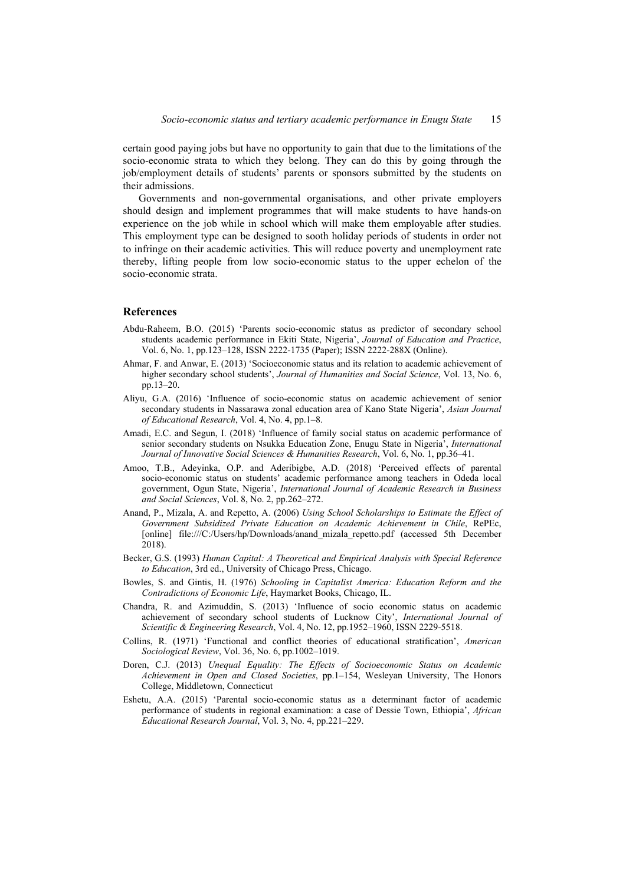certain good paying jobs but have no opportunity to gain that due to the limitations of the socio-economic strata to which they belong. They can do this by going through the job/employment details of students' parents or sponsors submitted by the students on their admissions.

Governments and non-governmental organisations, and other private employers should design and implement programmes that will make students to have hands-on experience on the job while in school which will make them employable after studies. This employment type can be designed to sooth holiday periods of students in order not to infringe on their academic activities. This will reduce poverty and unemployment rate thereby, lifting people from low socio-economic status to the upper echelon of the socio-economic strata.

# **References**

- Abdu-Raheem, B.O. (2015) 'Parents socio-economic status as predictor of secondary school students academic performance in Ekiti State, Nigeria', *Journal of Education and Practice*, Vol. 6, No. 1, pp.123–128, ISSN 2222-1735 (Paper); ISSN 2222-288X (Online).
- Ahmar, F. and Anwar, E. (2013) 'Socioeconomic status and its relation to academic achievement of higher secondary school students', *Journal of Humanities and Social Science*, Vol. 13, No. 6, pp.13–20.
- Aliyu, G.A. (2016) 'Influence of socio-economic status on academic achievement of senior secondary students in Nassarawa zonal education area of Kano State Nigeria', *Asian Journal of Educational Research*, Vol. 4, No. 4, pp.1–8.
- Amadi, E.C. and Segun, I. (2018) 'Influence of family social status on academic performance of senior secondary students on Nsukka Education Zone, Enugu State in Nigeria', *International Journal of Innovative Social Sciences & Humanities Research*, Vol. 6, No. 1, pp.36–41.
- Amoo, T.B., Adeyinka, O.P. and Aderibigbe, A.D. (2018) 'Perceived effects of parental socio-economic status on students' academic performance among teachers in Odeda local government, Ogun State, Nigeria', *International Journal of Academic Research in Business and Social Sciences*, Vol. 8, No. 2, pp.262–272.
- Anand, P., Mizala, A. and Repetto, A. (2006) *Using School Scholarships to Estimate the Effect of Government Subsidized Private Education on Academic Achievement in Chile*, RePEc, [online] file:///C:/Users/hp/Downloads/anand mizala repetto.pdf (accessed 5th December 2018).
- Becker, G.S. (1993) *Human Capital: A Theoretical and Empirical Analysis with Special Reference to Education*, 3rd ed., University of Chicago Press, Chicago.
- Bowles, S. and Gintis, H. (1976) *Schooling in Capitalist America: Education Reform and the Contradictions of Economic Life*, Haymarket Books, Chicago, IL.
- Chandra, R. and Azimuddin, S. (2013) 'Influence of socio economic status on academic achievement of secondary school students of Lucknow City', *International Journal of Scientific & Engineering Research*, Vol. 4, No. 12, pp.1952–1960, ISSN 2229-5518.
- Collins, R. (1971) 'Functional and conflict theories of educational stratification', *American Sociological Review*, Vol. 36, No. 6, pp.1002–1019.
- Doren, C.J. (2013) *Unequal Equality: The Effects of Socioeconomic Status on Academic Achievement in Open and Closed Societies*, pp.1–154, Wesleyan University, The Honors College, Middletown, Connecticut
- Eshetu, A.A. (2015) 'Parental socio-economic status as a determinant factor of academic performance of students in regional examination: a case of Dessie Town, Ethiopia', *African Educational Research Journal*, Vol. 3, No. 4, pp.221–229.